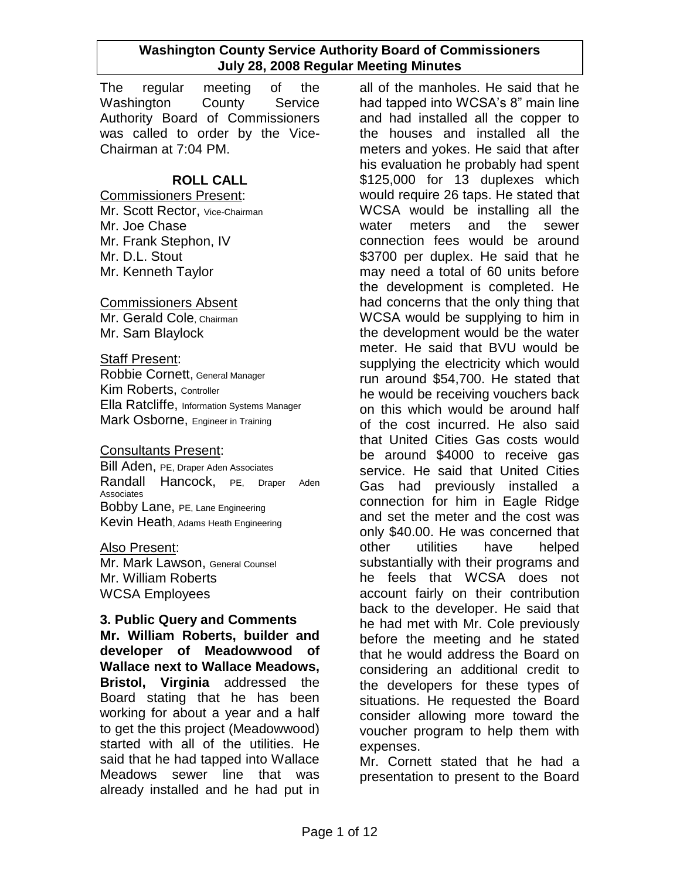The regular meeting of the Washington County Service Authority Board of Commissioners was called to order by the Vice-Chairman at 7:04 PM.

## **ROLL CALL**

#### Commissioners Present:

Mr. Scott Rector, Vice-Chairman Mr. Joe Chase Mr. Frank Stephon, IV Mr. D.L. Stout Mr. Kenneth Taylor

#### Commissioners Absent

Mr. Gerald Cole, Chairman Mr. Sam Blaylock

## **Staff Present:**

Robbie Cornett, General Manager Kim Roberts, Controller Ella Ratcliffe, Information Systems Manager Mark Osborne, Engineer in Training

## Consultants Present:

Bill Aden, PE, Draper Aden Associates Randall Hancock, PE, Draper Aden Associates Bobby Lane, PE, Lane Engineering Kevin Heath, Adams Heath Engineering

#### Also Present:

Mr. Mark Lawson, General Counsel Mr. William Roberts WCSA Employees

## **3. Public Query and Comments**

**Mr. William Roberts, builder and developer of Meadowwood of Wallace next to Wallace Meadows, Bristol, Virginia** addressed the Board stating that he has been working for about a year and a half to get the this project (Meadowwood) started with all of the utilities. He said that he had tapped into Wallace Meadows sewer line that was already installed and he had put in

all of the manholes. He said that he had tapped into WCSA's 8" main line and had installed all the copper to the houses and installed all the meters and yokes. He said that after his evaluation he probably had spent \$125,000 for 13 duplexes which would require 26 taps. He stated that WCSA would be installing all the water meters and the sewer connection fees would be around \$3700 per duplex. He said that he may need a total of 60 units before the development is completed. He had concerns that the only thing that WCSA would be supplying to him in the development would be the water meter. He said that BVU would be supplying the electricity which would run around \$54,700. He stated that he would be receiving vouchers back on this which would be around half of the cost incurred. He also said that United Cities Gas costs would be around \$4000 to receive gas service. He said that United Cities Gas had previously installed a connection for him in Eagle Ridge and set the meter and the cost was only \$40.00. He was concerned that other utilities have helped substantially with their programs and he feels that WCSA does not account fairly on their contribution back to the developer. He said that he had met with Mr. Cole previously before the meeting and he stated that he would address the Board on considering an additional credit to the developers for these types of situations. He requested the Board consider allowing more toward the voucher program to help them with expenses.

Mr. Cornett stated that he had a presentation to present to the Board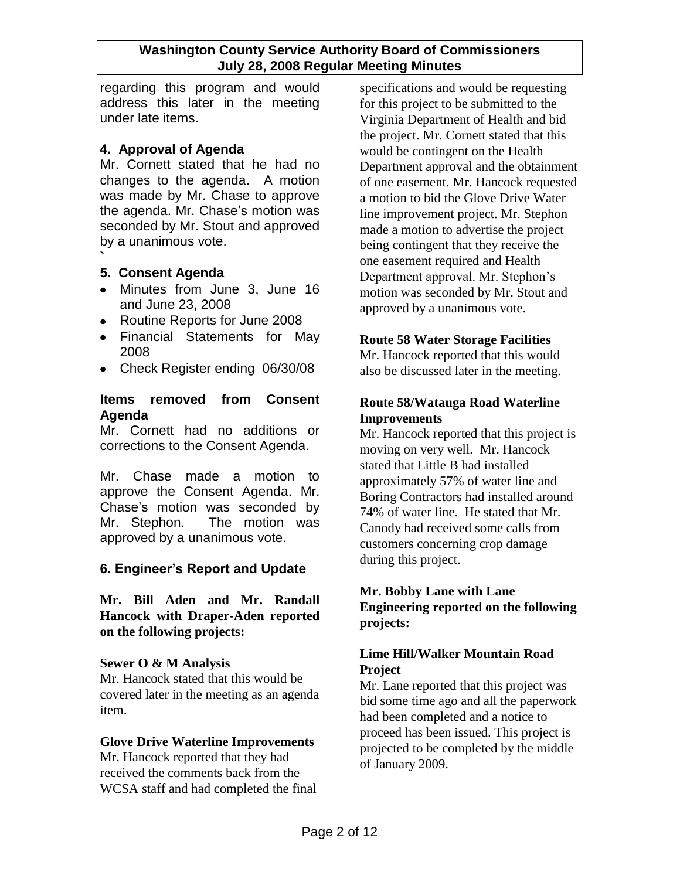regarding this program and would address this later in the meeting under late items.

## **4. Approval of Agenda**

Mr. Cornett stated that he had no changes to the agenda. A motion was made by Mr. Chase to approve the agenda. Mr. Chase's motion was seconded by Mr. Stout and approved by a unanimous vote.

#### **` 5. Consent Agenda**

- Minutes from June 3, June 16 and June 23, 2008
- Routine Reports for June 2008
- Financial Statements for May 2008
- Check Register ending 06/30/08

## **Items removed from Consent Agenda**

Mr. Cornett had no additions or corrections to the Consent Agenda.

Mr. Chase made a motion to approve the Consent Agenda. Mr. Chase's motion was seconded by Mr. Stephon. The motion was approved by a unanimous vote.

# **6. Engineer's Report and Update**

**Mr. Bill Aden and Mr. Randall Hancock with Draper-Aden reported on the following projects:**

## **Sewer O & M Analysis**

Mr. Hancock stated that this would be covered later in the meeting as an agenda item.

## **Glove Drive Waterline Improvements**

Mr. Hancock reported that they had received the comments back from the WCSA staff and had completed the final specifications and would be requesting for this project to be submitted to the Virginia Department of Health and bid the project. Mr. Cornett stated that this would be contingent on the Health Department approval and the obtainment of one easement. Mr. Hancock requested a motion to bid the Glove Drive Water line improvement project. Mr. Stephon made a motion to advertise the project being contingent that they receive the one easement required and Health Department approval. Mr. Stephon's motion was seconded by Mr. Stout and approved by a unanimous vote.

## **Route 58 Water Storage Facilities**

Mr. Hancock reported that this would also be discussed later in the meeting.

## **Route 58/Watauga Road Waterline Improvements**

Mr. Hancock reported that this project is moving on very well. Mr. Hancock stated that Little B had installed approximately 57% of water line and Boring Contractors had installed around 74% of water line. He stated that Mr. Canody had received some calls from customers concerning crop damage during this project.

## **Mr. Bobby Lane with Lane Engineering reported on the following projects:**

## **Lime Hill/Walker Mountain Road Project**

Mr. Lane reported that this project was bid some time ago and all the paperwork had been completed and a notice to proceed has been issued. This project is projected to be completed by the middle of January 2009.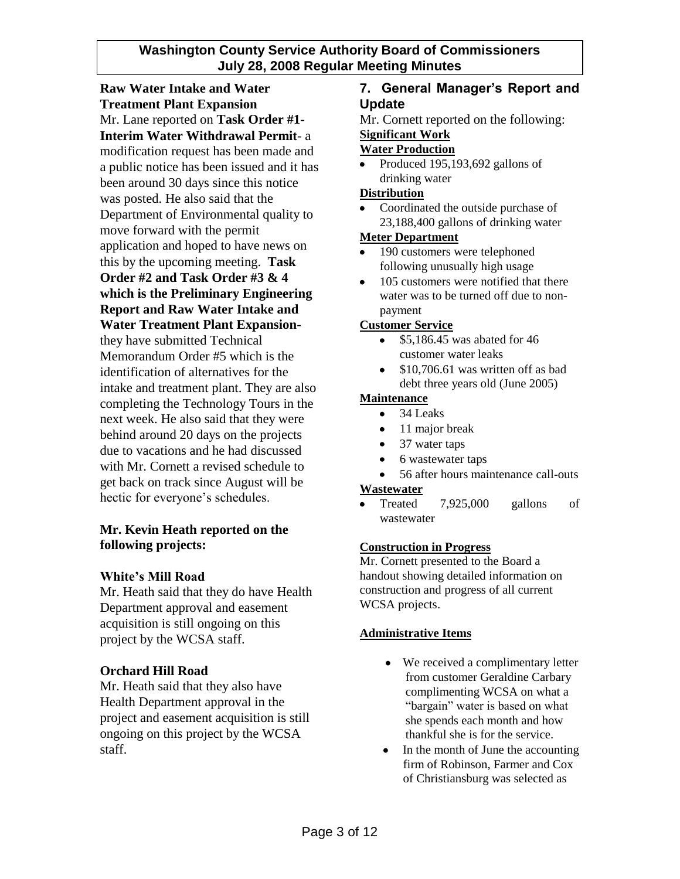**Raw Water Intake and Water Treatment Plant Expansion** Mr. Lane reported on **Task Order #1- Interim Water Withdrawal Permit**- a modification request has been made and a public notice has been issued and it has been around 30 days since this notice was posted. He also said that the Department of Environmental quality to move forward with the permit application and hoped to have news on this by the upcoming meeting. **Task Order #2 and Task Order #3 & 4 which is the Preliminary Engineering Report and Raw Water Intake and Water Treatment Plant Expansion**they have submitted Technical Memorandum Order #5 which is the identification of alternatives for the intake and treatment plant. They are also completing the Technology Tours in the next week. He also said that they were behind around 20 days on the projects due to vacations and he had discussed with Mr. Cornett a revised schedule to get back on track since August will be hectic for everyone's schedules.

## **Mr. Kevin Heath reported on the following projects:**

## **White's Mill Road**

Mr. Heath said that they do have Health Department approval and easement acquisition is still ongoing on this project by the WCSA staff.

## **Orchard Hill Road**

Mr. Heath said that they also have Health Department approval in the project and easement acquisition is still ongoing on this project by the WCSA staff.

## **7. General Manager's Report and Update**

Mr. Cornett reported on the following:

### **Significant Work**

### **Water Production**

Produced 195,193,692 gallons of drinking water

#### **Distribution**

Coordinated the outside purchase of 23,188,400 gallons of drinking water

#### **Meter Department**

- 190 customers were telephoned  $\bullet$ following unusually high usage
- 105 customers were notified that there  $\bullet$ water was to be turned off due to nonpayment

#### **Customer Service**

- \$5,186.45 was abated for 46 customer water leaks
- \$10,706.61 was written off as bad  $\bullet$ debt three years old (June 2005)

#### **Maintenance**

- $\bullet$ 34 Leaks
- $\bullet$ 11 major break
- $\bullet$ 37 water taps
- $\bullet$ 6 wastewater taps
- 56 after hours maintenance call-outs

#### **Wastewater**

Treated 7,925,000 gallons of wastewater

#### **Construction in Progress**

Mr. Cornett presented to the Board a handout showing detailed information on construction and progress of all current WCSA projects.

#### **Administrative Items**

- We received a complimentary letter from customer Geraldine Carbary complimenting WCSA on what a "bargain" water is based on what she spends each month and how thankful she is for the service.
- In the month of June the accounting  $\bullet$ firm of Robinson, Farmer and Cox of Christiansburg was selected as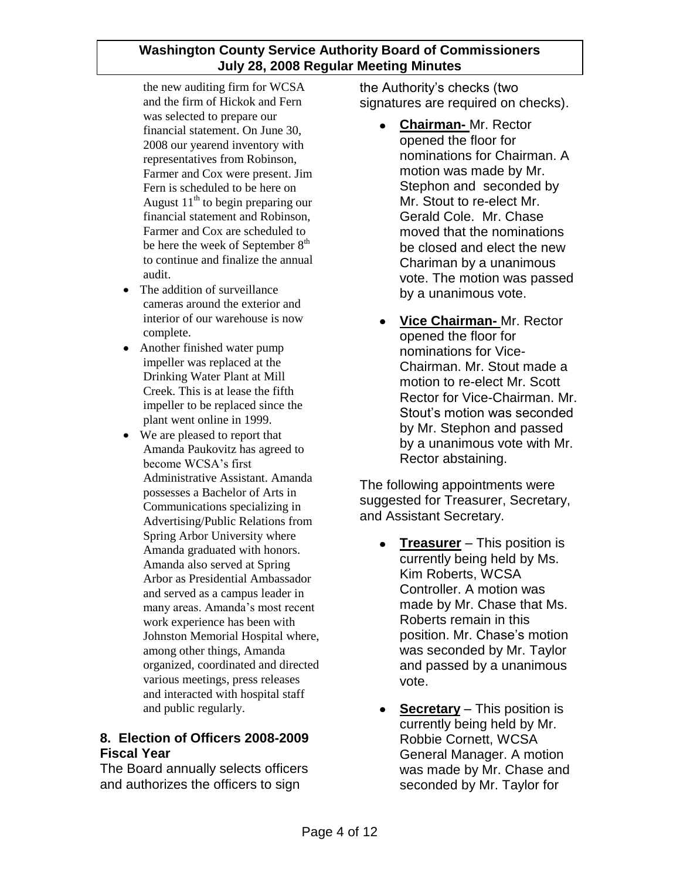the new auditing firm for WCSA and the firm of Hickok and Fern was selected to prepare our financial statement. On June 30, 2008 our yearend inventory with representatives from Robinson, Farmer and Cox were present. Jim Fern is scheduled to be here on August  $11<sup>th</sup>$  to begin preparing our financial statement and Robinson, Farmer and Cox are scheduled to be here the week of September  $8<sup>th</sup>$ to continue and finalize the annual audit.

- The addition of surveillance  $\bullet$ cameras around the exterior and interior of our warehouse is now complete.
- Another finished water pump impeller was replaced at the Drinking Water Plant at Mill Creek. This is at lease the fifth impeller to be replaced since the plant went online in 1999.
- We are pleased to report that Amanda Paukovitz has agreed to become WCSA's first Administrative Assistant. Amanda possesses a Bachelor of Arts in Communications specializing in Advertising/Public Relations from Spring Arbor University where Amanda graduated with honors. Amanda also served at Spring Arbor as Presidential Ambassador and served as a campus leader in many areas. Amanda's most recent work experience has been with Johnston Memorial Hospital where, among other things, Amanda organized, coordinated and directed various meetings, press releases and interacted with hospital staff and public regularly.

# **8. Election of Officers 2008-2009 Fiscal Year**

The Board annually selects officers and authorizes the officers to sign

the Authority's checks (two signatures are required on checks).

- $\bullet$ **Chairman-** Mr. Rector opened the floor for nominations for Chairman. A motion was made by Mr. Stephon and seconded by Mr. Stout to re-elect Mr. Gerald Cole. Mr. Chase moved that the nominations be closed and elect the new Chariman by a unanimous vote. The motion was passed by a unanimous vote.
- **Vice Chairman-** Mr. Rector opened the floor for nominations for Vice-Chairman. Mr. Stout made a motion to re-elect Mr. Scott Rector for Vice-Chairman. Mr. Stout's motion was seconded by Mr. Stephon and passed by a unanimous vote with Mr. Rector abstaining.

The following appointments were suggested for Treasurer, Secretary, and Assistant Secretary.

- **Treasurer** This position is  $\bullet$ currently being held by Ms. Kim Roberts, WCSA Controller. A motion was made by Mr. Chase that Ms. Roberts remain in this position. Mr. Chase's motion was seconded by Mr. Taylor and passed by a unanimous vote.
- **Secretary** This position is  $\bullet$ currently being held by Mr. Robbie Cornett, WCSA General Manager. A motion was made by Mr. Chase and seconded by Mr. Taylor for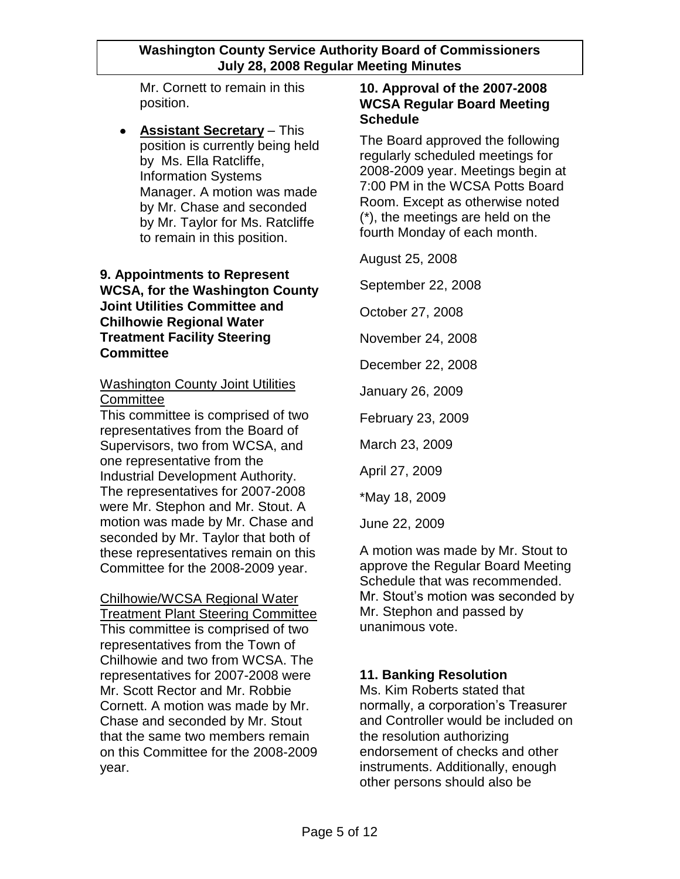Mr. Cornett to remain in this position.

**Assistant Secretary** – This position is currently being held by Ms. Ella Ratcliffe, Information Systems Manager. A motion was made by Mr. Chase and seconded by Mr. Taylor for Ms. Ratcliffe to remain in this position.

## **9. Appointments to Represent WCSA, for the Washington County Joint Utilities Committee and Chilhowie Regional Water Treatment Facility Steering Committee**

# Washington County Joint Utilities **Committee**

This committee is comprised of two representatives from the Board of Supervisors, two from WCSA, and one representative from the Industrial Development Authority. The representatives for 2007-2008 were Mr. Stephon and Mr. Stout. A motion was made by Mr. Chase and seconded by Mr. Taylor that both of these representatives remain on this Committee for the 2008-2009 year.

Chilhowie/WCSA Regional Water Treatment Plant Steering Committee This committee is comprised of two representatives from the Town of Chilhowie and two from WCSA. The representatives for 2007-2008 were Mr. Scott Rector and Mr. Robbie Cornett. A motion was made by Mr. Chase and seconded by Mr. Stout that the same two members remain on this Committee for the 2008-2009 year.

## **10. Approval of the 2007-2008 WCSA Regular Board Meeting Schedule**

The Board approved the following regularly scheduled meetings for 2008-2009 year. Meetings begin at 7:00 PM in the WCSA Potts Board Room. Except as otherwise noted (\*), the meetings are held on the fourth Monday of each month.

August 25, 2008

September 22, 2008

October 27, 2008

November 24, 2008

December 22, 2008

January 26, 2009

February 23, 2009

March 23, 2009

April 27, 2009

\*May 18, 2009

June 22, 2009

A motion was made by Mr. Stout to approve the Regular Board Meeting Schedule that was recommended. Mr. Stout's motion was seconded by Mr. Stephon and passed by unanimous vote.

## **11. Banking Resolution**

Ms. Kim Roberts stated that normally, a corporation's Treasurer and Controller would be included on the resolution authorizing endorsement of checks and other instruments. Additionally, enough other persons should also be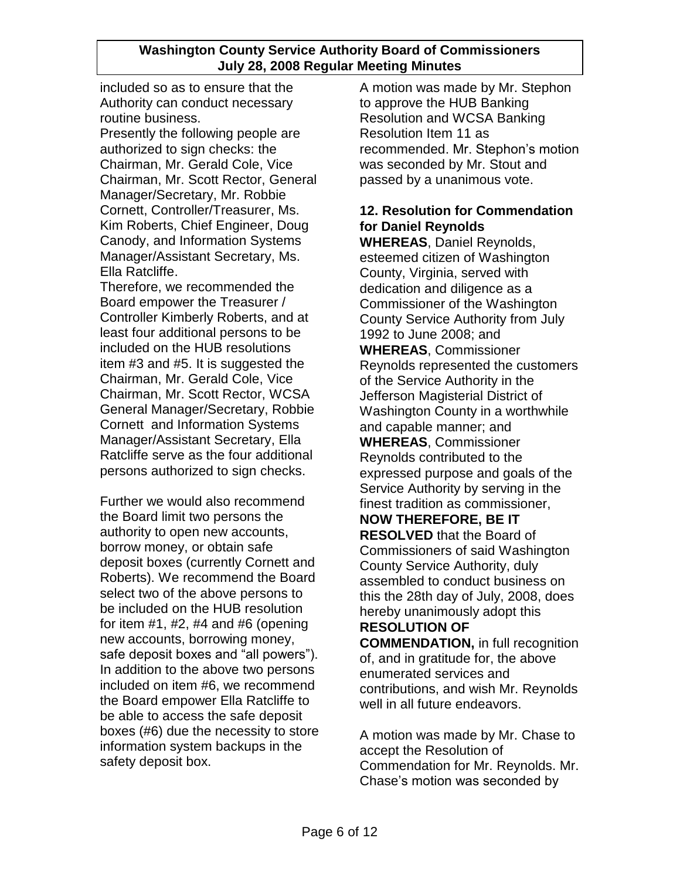included so as to ensure that the Authority can conduct necessary routine business.

Presently the following people are authorized to sign checks: the Chairman, Mr. Gerald Cole, Vice Chairman, Mr. Scott Rector, General Manager/Secretary, Mr. Robbie Cornett, Controller/Treasurer, Ms. Kim Roberts, Chief Engineer, Doug Canody, and Information Systems Manager/Assistant Secretary, Ms. Ella Ratcliffe.

Therefore, we recommended the Board empower the Treasurer / Controller Kimberly Roberts, and at least four additional persons to be included on the HUB resolutions item #3 and #5. It is suggested the Chairman, Mr. Gerald Cole, Vice Chairman, Mr. Scott Rector, WCSA General Manager/Secretary, Robbie Cornett and Information Systems Manager/Assistant Secretary, Ella Ratcliffe serve as the four additional persons authorized to sign checks.

Further we would also recommend the Board limit two persons the authority to open new accounts, borrow money, or obtain safe deposit boxes (currently Cornett and Roberts). We recommend the Board select two of the above persons to be included on the HUB resolution for item  $#1, #2, #4$  and  $#6$  (opening new accounts, borrowing money, safe deposit boxes and "all powers"). In addition to the above two persons included on item #6, we recommend the Board empower Ella Ratcliffe to be able to access the safe deposit boxes (#6) due the necessity to store information system backups in the safety deposit box.

A motion was made by Mr. Stephon to approve the HUB Banking Resolution and WCSA Banking Resolution Item 11 as recommended. Mr. Stephon's motion was seconded by Mr. Stout and passed by a unanimous vote.

# **12. Resolution for Commendation for Daniel Reynolds**

**WHEREAS**, Daniel Reynolds, esteemed citizen of Washington County, Virginia, served with dedication and diligence as a Commissioner of the Washington County Service Authority from July 1992 to June 2008; and **WHEREAS**, Commissioner Reynolds represented the customers of the Service Authority in the Jefferson Magisterial District of Washington County in a worthwhile and capable manner; and **WHEREAS**, Commissioner Reynolds contributed to the expressed purpose and goals of the Service Authority by serving in the finest tradition as commissioner, **NOW THEREFORE, BE IT RESOLVED** that the Board of Commissioners of said Washington County Service Authority, duly assembled to conduct business on this the 28th day of July, 2008, does hereby unanimously adopt this **RESOLUTION OF COMMENDATION,** in full recognition of, and in gratitude for, the above enumerated services and

contributions, and wish Mr. Reynolds well in all future endeavors.

A motion was made by Mr. Chase to accept the Resolution of Commendation for Mr. Reynolds. Mr. Chase's motion was seconded by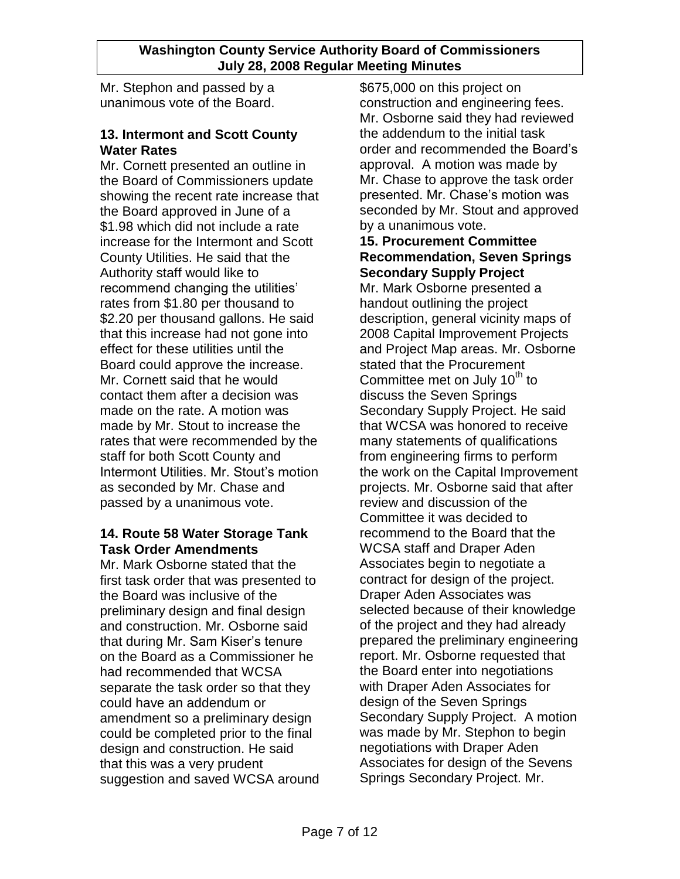Mr. Stephon and passed by a unanimous vote of the Board.

## **13. Intermont and Scott County Water Rates**

Mr. Cornett presented an outline in the Board of Commissioners update showing the recent rate increase that the Board approved in June of a \$1.98 which did not include a rate increase for the Intermont and Scott County Utilities. He said that the Authority staff would like to recommend changing the utilities' rates from \$1.80 per thousand to \$2.20 per thousand gallons. He said that this increase had not gone into effect for these utilities until the Board could approve the increase. Mr. Cornett said that he would contact them after a decision was made on the rate. A motion was made by Mr. Stout to increase the rates that were recommended by the staff for both Scott County and Intermont Utilities. Mr. Stout's motion as seconded by Mr. Chase and passed by a unanimous vote.

## **14. Route 58 Water Storage Tank Task Order Amendments**

Mr. Mark Osborne stated that the first task order that was presented to the Board was inclusive of the preliminary design and final design and construction. Mr. Osborne said that during Mr. Sam Kiser's tenure on the Board as a Commissioner he had recommended that WCSA separate the task order so that they could have an addendum or amendment so a preliminary design could be completed prior to the final design and construction. He said that this was a very prudent suggestion and saved WCSA around \$675,000 on this project on construction and engineering fees. Mr. Osborne said they had reviewed the addendum to the initial task order and recommended the Board's approval. A motion was made by Mr. Chase to approve the task order presented. Mr. Chase's motion was seconded by Mr. Stout and approved by a unanimous vote.

### **15. Procurement Committee Recommendation, Seven Springs Secondary Supply Project**

Mr. Mark Osborne presented a handout outlining the project description, general vicinity maps of 2008 Capital Improvement Projects and Project Map areas. Mr. Osborne stated that the Procurement Committee met on July 10<sup>th</sup> to discuss the Seven Springs Secondary Supply Project. He said that WCSA was honored to receive many statements of qualifications from engineering firms to perform the work on the Capital Improvement projects. Mr. Osborne said that after review and discussion of the Committee it was decided to recommend to the Board that the WCSA staff and Draper Aden Associates begin to negotiate a contract for design of the project. Draper Aden Associates was selected because of their knowledge of the project and they had already prepared the preliminary engineering report. Mr. Osborne requested that the Board enter into negotiations with Draper Aden Associates for design of the Seven Springs Secondary Supply Project. A motion was made by Mr. Stephon to begin negotiations with Draper Aden Associates for design of the Sevens Springs Secondary Project. Mr.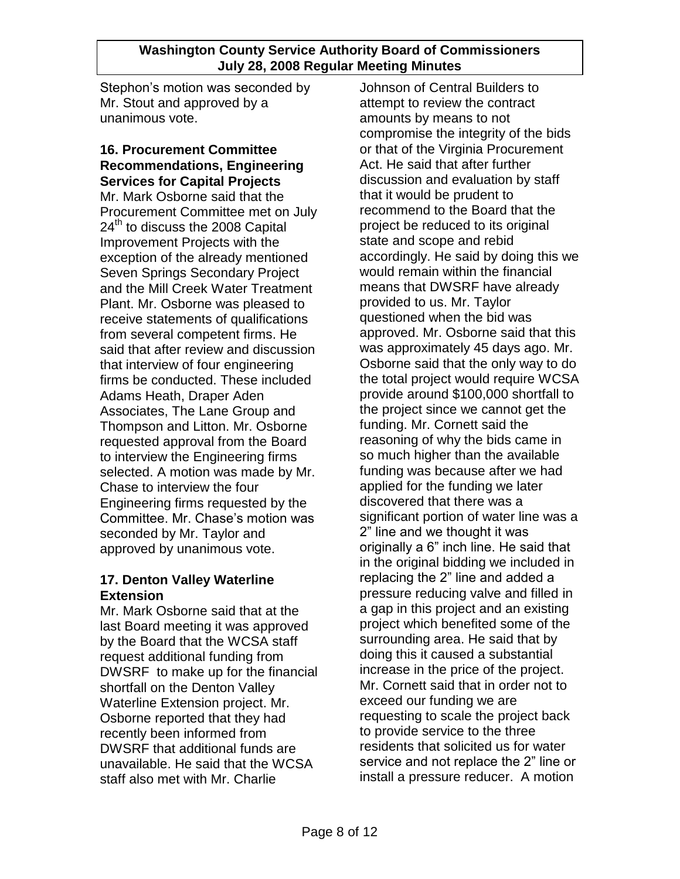Stephon's motion was seconded by Mr. Stout and approved by a unanimous vote.

#### **16. Procurement Committee Recommendations, Engineering Services for Capital Projects**

Mr. Mark Osborne said that the Procurement Committee met on July  $24<sup>th</sup>$  to discuss the 2008 Capital Improvement Projects with the exception of the already mentioned Seven Springs Secondary Project and the Mill Creek Water Treatment Plant. Mr. Osborne was pleased to receive statements of qualifications from several competent firms. He said that after review and discussion that interview of four engineering firms be conducted. These included Adams Heath, Draper Aden Associates, The Lane Group and Thompson and Litton. Mr. Osborne requested approval from the Board to interview the Engineering firms selected. A motion was made by Mr. Chase to interview the four Engineering firms requested by the Committee. Mr. Chase's motion was seconded by Mr. Taylor and approved by unanimous vote.

## **17. Denton Valley Waterline Extension**

Mr. Mark Osborne said that at the last Board meeting it was approved by the Board that the WCSA staff request additional funding from DWSRF to make up for the financial shortfall on the Denton Valley Waterline Extension project. Mr. Osborne reported that they had recently been informed from DWSRF that additional funds are unavailable. He said that the WCSA staff also met with Mr. Charlie

Johnson of Central Builders to attempt to review the contract amounts by means to not compromise the integrity of the bids or that of the Virginia Procurement Act. He said that after further discussion and evaluation by staff that it would be prudent to recommend to the Board that the project be reduced to its original state and scope and rebid accordingly. He said by doing this we would remain within the financial means that DWSRF have already provided to us. Mr. Taylor questioned when the bid was approved. Mr. Osborne said that this was approximately 45 days ago. Mr. Osborne said that the only way to do the total project would require WCSA provide around \$100,000 shortfall to the project since we cannot get the funding. Mr. Cornett said the reasoning of why the bids came in so much higher than the available funding was because after we had applied for the funding we later discovered that there was a significant portion of water line was a 2" line and we thought it was originally a 6" inch line. He said that in the original bidding we included in replacing the 2" line and added a pressure reducing valve and filled in a gap in this project and an existing project which benefited some of the surrounding area. He said that by doing this it caused a substantial increase in the price of the project. Mr. Cornett said that in order not to exceed our funding we are requesting to scale the project back to provide service to the three residents that solicited us for water service and not replace the 2" line or install a pressure reducer. A motion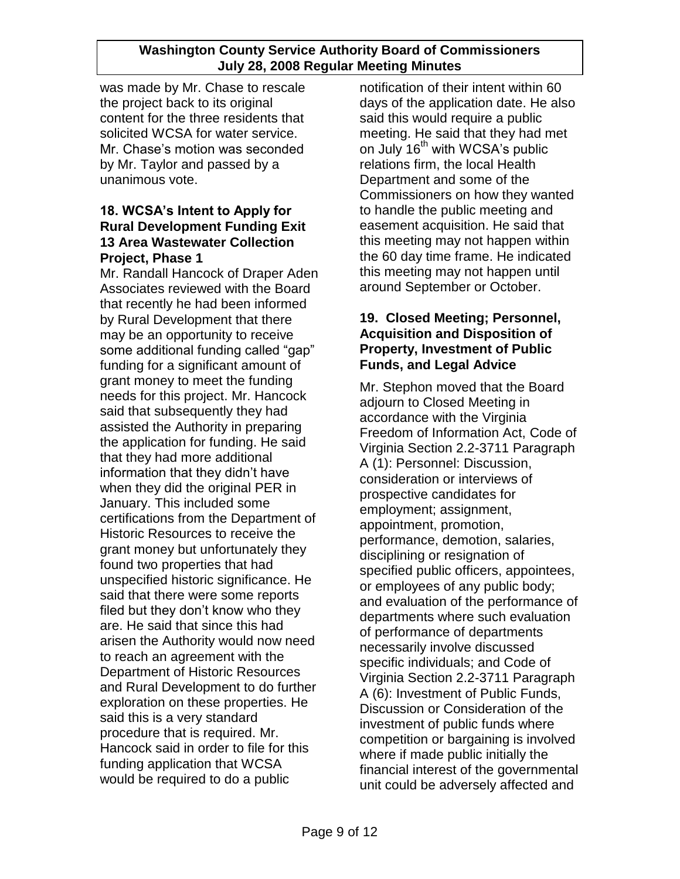was made by Mr. Chase to rescale the project back to its original content for the three residents that solicited WCSA for water service. Mr. Chase's motion was seconded by Mr. Taylor and passed by a unanimous vote.

## **18. WCSA's Intent to Apply for Rural Development Funding Exit 13 Area Wastewater Collection Project, Phase 1**

Mr. Randall Hancock of Draper Aden Associates reviewed with the Board that recently he had been informed by Rural Development that there may be an opportunity to receive some additional funding called "gap" funding for a significant amount of grant money to meet the funding needs for this project. Mr. Hancock said that subsequently they had assisted the Authority in preparing the application for funding. He said that they had more additional information that they didn't have when they did the original PER in January. This included some certifications from the Department of Historic Resources to receive the grant money but unfortunately they found two properties that had unspecified historic significance. He said that there were some reports filed but they don't know who they are. He said that since this had arisen the Authority would now need to reach an agreement with the Department of Historic Resources and Rural Development to do further exploration on these properties. He said this is a very standard procedure that is required. Mr. Hancock said in order to file for this funding application that WCSA would be required to do a public

notification of their intent within 60 days of the application date. He also said this would require a public meeting. He said that they had met on July 16<sup>th</sup> with WCSA's public relations firm, the local Health Department and some of the Commissioners on how they wanted to handle the public meeting and easement acquisition. He said that this meeting may not happen within the 60 day time frame. He indicated this meeting may not happen until around September or October.

## **19. Closed Meeting; Personnel, Acquisition and Disposition of Property, Investment of Public Funds, and Legal Advice**

Mr. Stephon moved that the Board adjourn to Closed Meeting in accordance with the Virginia Freedom of Information Act, Code of Virginia Section 2.2-3711 Paragraph A (1): Personnel: Discussion, consideration or interviews of prospective candidates for employment; assignment, appointment, promotion, performance, demotion, salaries, disciplining or resignation of specified public officers, appointees, or employees of any public body; and evaluation of the performance of departments where such evaluation of performance of departments necessarily involve discussed specific individuals; and Code of Virginia Section 2.2-3711 Paragraph A (6): Investment of Public Funds, Discussion or Consideration of the investment of public funds where competition or bargaining is involved where if made public initially the financial interest of the governmental unit could be adversely affected and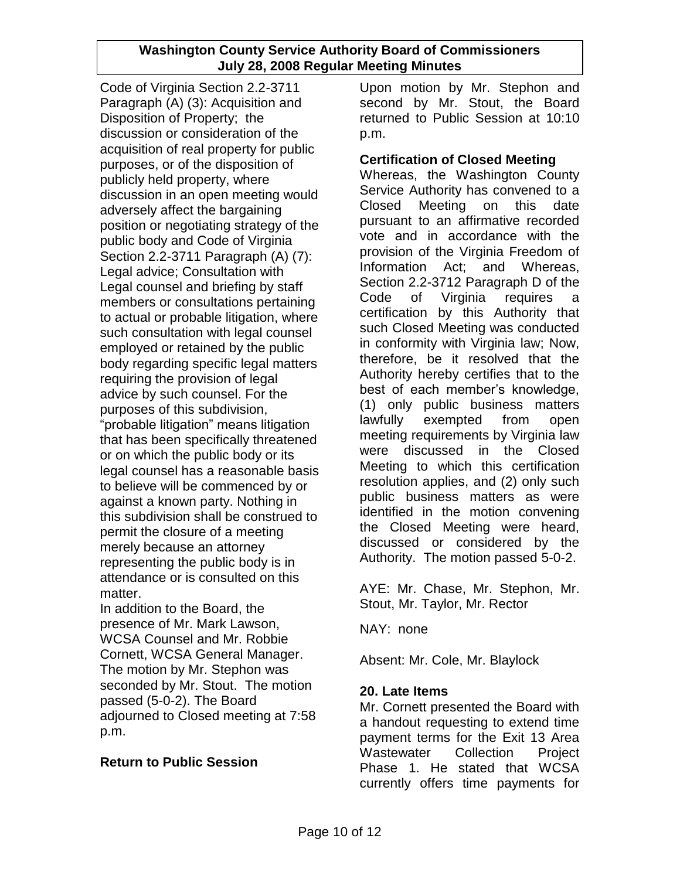Code of Virginia Section 2.2-3711 Paragraph (A) (3): Acquisition and Disposition of Property; the discussion or consideration of the acquisition of real property for public purposes, or of the disposition of publicly held property, where discussion in an open meeting would adversely affect the bargaining position or negotiating strategy of the public body and Code of Virginia Section 2.2-3711 Paragraph (A) (7): Legal advice; Consultation with Legal counsel and briefing by staff members or consultations pertaining to actual or probable litigation, where such consultation with legal counsel employed or retained by the public body regarding specific legal matters requiring the provision of legal advice by such counsel. For the purposes of this subdivision, "probable litigation" means litigation that has been specifically threatened or on which the public body or its legal counsel has a reasonable basis to believe will be commenced by or against a known party. Nothing in this subdivision shall be construed to permit the closure of a meeting merely because an attorney representing the public body is in attendance or is consulted on this matter.

In addition to the Board, the presence of Mr. Mark Lawson, WCSA Counsel and Mr. Robbie Cornett, WCSA General Manager. The motion by Mr. Stephon was seconded by Mr. Stout. The motion passed (5-0-2). The Board adjourned to Closed meeting at 7:58 p.m.

## **Return to Public Session**

Upon motion by Mr. Stephon and second by Mr. Stout, the Board returned to Public Session at 10:10 p.m.

### **Certification of Closed Meeting**

Whereas, the Washington County Service Authority has convened to a Closed Meeting on this date pursuant to an affirmative recorded vote and in accordance with the provision of the Virginia Freedom of Information Act; and Whereas, Section 2.2-3712 Paragraph D of the Code of Virginia requires a certification by this Authority that such Closed Meeting was conducted in conformity with Virginia law; Now, therefore, be it resolved that the Authority hereby certifies that to the best of each member's knowledge, (1) only public business matters lawfully exempted from open meeting requirements by Virginia law were discussed in the Closed Meeting to which this certification resolution applies, and (2) only such public business matters as were identified in the motion convening the Closed Meeting were heard, discussed or considered by the Authority. The motion passed 5-0-2.

AYE: Mr. Chase, Mr. Stephon, Mr. Stout, Mr. Taylor, Mr. Rector

NAY: none

Absent: Mr. Cole, Mr. Blaylock

## **20. Late Items**

Mr. Cornett presented the Board with a handout requesting to extend time payment terms for the Exit 13 Area Wastewater Collection Project Phase 1. He stated that WCSA currently offers time payments for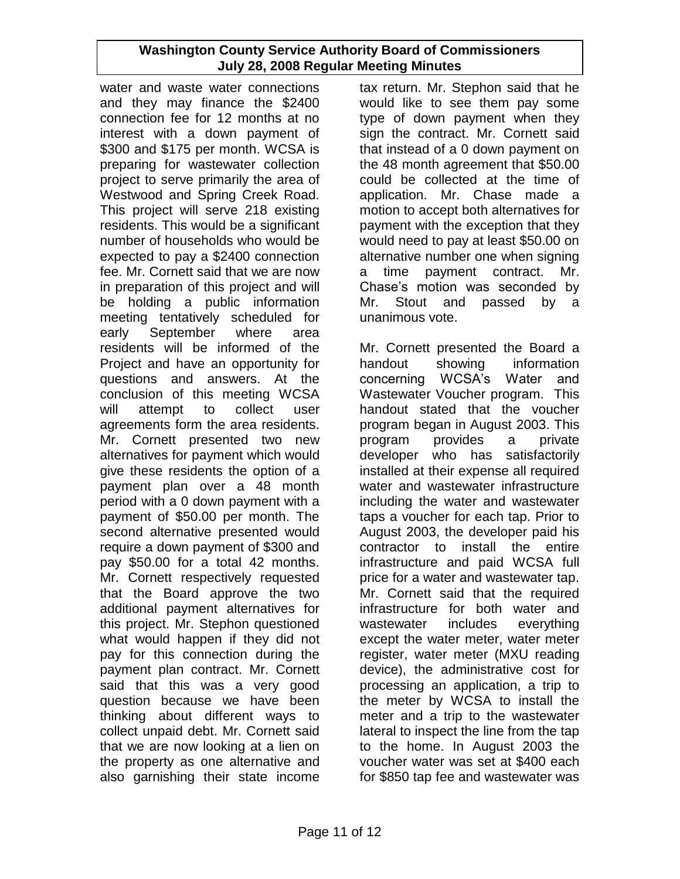water and waste water connections and they may finance the \$2400 connection fee for 12 months at no interest with a down payment of \$300 and \$175 per month. WCSA is preparing for wastewater collection project to serve primarily the area of Westwood and Spring Creek Road. This project will serve 218 existing residents. This would be a significant number of households who would be expected to pay a \$2400 connection fee. Mr. Cornett said that we are now in preparation of this project and will be holding a public information meeting tentatively scheduled for early September where area residents will be informed of the Project and have an opportunity for questions and answers. At the conclusion of this meeting WCSA will attempt to collect user agreements form the area residents. Mr. Cornett presented two new alternatives for payment which would give these residents the option of a payment plan over a 48 month period with a 0 down payment with a payment of \$50.00 per month. The second alternative presented would require a down payment of \$300 and pay \$50.00 for a total 42 months. Mr. Cornett respectively requested that the Board approve the two additional payment alternatives for this project. Mr. Stephon questioned what would happen if they did not pay for this connection during the payment plan contract. Mr. Cornett said that this was a very good question because we have been thinking about different ways to collect unpaid debt. Mr. Cornett said that we are now looking at a lien on the property as one alternative and also garnishing their state income

tax return. Mr. Stephon said that he would like to see them pay some type of down payment when they sign the contract. Mr. Cornett said that instead of a 0 down payment on the 48 month agreement that \$50.00 could be collected at the time of application. Mr. Chase made a motion to accept both alternatives for payment with the exception that they would need to pay at least \$50.00 on alternative number one when signing a time payment contract. Mr. Chase's motion was seconded by Mr. Stout and passed by a unanimous vote.

Mr. Cornett presented the Board a handout showing information concerning WCSA's Water and Wastewater Voucher program. This handout stated that the voucher program began in August 2003. This program provides a private developer who has satisfactorily installed at their expense all required water and wastewater infrastructure including the water and wastewater taps a voucher for each tap. Prior to August 2003, the developer paid his contractor to install the entire infrastructure and paid WCSA full price for a water and wastewater tap. Mr. Cornett said that the required infrastructure for both water and wastewater includes everything except the water meter, water meter register, water meter (MXU reading device), the administrative cost for processing an application, a trip to the meter by WCSA to install the meter and a trip to the wastewater lateral to inspect the line from the tap to the home. In August 2003 the voucher water was set at \$400 each for \$850 tap fee and wastewater was